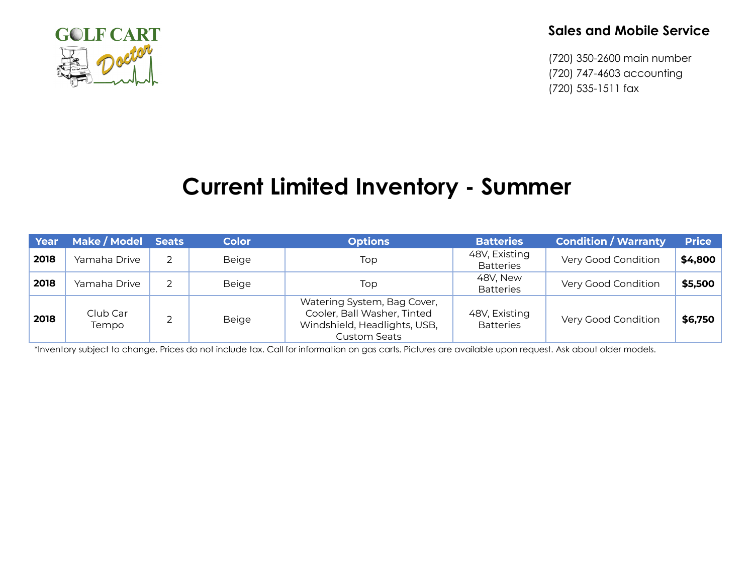

## **Sales and Mobile Service**

(720) 350-2600 main number (720) 747-4603 accounting (720) 535-1511 fax

## **Current Limited Inventory - Summer**

| Year | Make / Model      | <b>Seats</b> | <b>Color</b> | <b>Options</b>                                                                                                    | <b>Batteries</b>                  | <b>Condition / Warranty</b> | <b>Price</b> |
|------|-------------------|--------------|--------------|-------------------------------------------------------------------------------------------------------------------|-----------------------------------|-----------------------------|--------------|
| 2018 | Yamaha Drive      |              | <b>Beige</b> | Top                                                                                                               | 48V, Existing<br><b>Batteries</b> | Very Good Condition         | \$4,800      |
| 2018 | Yamaha Drive      |              | <b>Beige</b> | Top                                                                                                               | 48V, New<br><b>Batteries</b>      | Very Good Condition         | \$5,500      |
| 2018 | Club Car<br>Tempo | ⌒            | <b>Beige</b> | Watering System, Bag Cover,<br>Cooler, Ball Washer, Tinted<br>Windshield, Headlights, USB,<br><b>Custom Seats</b> | 48V, Existing<br><b>Batteries</b> | Very Good Condition         | \$6,750      |

\*Inventory subject to change. Prices do not include tax. Call for information on gas carts. Pictures are available upon request. Ask about older models.